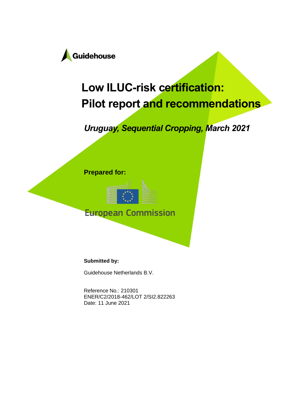

# **Low ILUC-risk certification: Pilot report and recommendations**

*Uruguay, Sequential Cropping, March 2021*





**European Commission** 

**Submitted by:**

Guidehouse Netherlands B.V.

Reference No.: 210301 ENER/C2/2018-462/LOT 2/SI2.822263 Date: 11 June 2021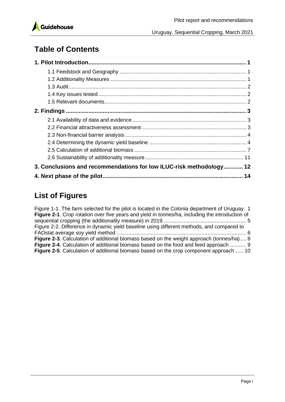

# **Table of Contents**

| 3. Conclusions and recommendations for low ILUC-risk methodology 12 |  |
|---------------------------------------------------------------------|--|
|                                                                     |  |

# **List of Figures**

| Figure 1-1. The farm selected for the pilot is located in the Colonia department of Uruguay. 1  |  |
|-------------------------------------------------------------------------------------------------|--|
| Figure 2-1. Crop rotation over five years and yield in tonnes/ha, including the introduction of |  |
|                                                                                                 |  |
| Figure 2-2. Difference in dynamic yield baseline using different methods, and compared to       |  |
|                                                                                                 |  |
| Figure 2-3. Calculation of additional biomass based on the weight approach (tonnes/ha) 8        |  |
| <b>Figure 2-4.</b> Calculation of additional biomass based on the food and feed approach  9     |  |
| <b>Figure 2-5.</b> Calculation of additional biomass based on the crop component approach 10    |  |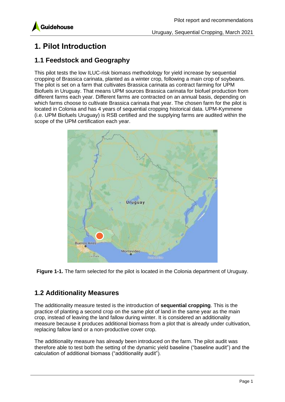

# <span id="page-2-0"></span>**1. Pilot Introduction**

#### <span id="page-2-1"></span>**1.1 Feedstock and Geography**

This pilot tests the low ILUC-risk biomass methodology for yield increase by sequential cropping of Brassica carinata, planted as a winter crop, following a main crop of soybeans. The pilot is set on a farm that cultivates Brassica carinata as contract farming for UPM Biofuels in Uruguay. That means UPM sources Brassica carinata for biofuel production from different farms each year. Different farms are contracted on an annual basis, depending on which farms choose to cultivate Brassica carinata that year. The chosen farm for the pilot is located in Colonia and has 4 years of sequential cropping historical data. UPM-Kymmene (i.e. UPM Biofuels Uruguay) is RSB certified and the supplying farms are audited within the scope of the UPM certification each year.



<span id="page-2-3"></span>**Figure 1-1.** The farm selected for the pilot is located in the Colonia department of Uruguay.

#### <span id="page-2-2"></span>**1.2 Additionality Measures**

The additionality measure tested is the introduction of **sequential cropping**. This is the practice of planting a second crop on the same plot of land in the same year as the main crop, instead of leaving the land fallow during winter. It is considered an additionality measure because it produces additional biomass from a plot that is already under cultivation, replacing fallow land or a non-productive cover crop.

The additionality measure has already been introduced on the farm. The pilot audit was therefore able to test both the setting of the dynamic yield baseline ("baseline audit") and the calculation of additional biomass ("additionality audit").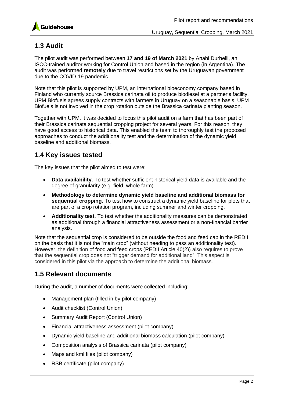

#### <span id="page-3-0"></span>**1.3 Audit**

The pilot audit was performed between **17 and 19 of March 2021** by Anahi Durhelli, an ISCC-trained auditor working for Control Union and based in the region (in Argentina). The audit was performed **remotely** due to travel restrictions set by the Uruguayan government due to the COVID-19 pandemic.

Note that this pilot is supported by UPM, an international bioeconomy company based in Finland who currently source Brassica carinata oil to produce biodiesel at a partner's facility. UPM Biofuels agrees supply contracts with farmers in Uruguay on a seasonable basis. UPM Biofuels is not involved in the crop rotation outside the Brassica carinata planting season.

Together with UPM, it was decided to focus this pilot audit on a farm that has been part of their Brassica carinata sequential cropping project for several years. For this reason, they have good access to historical data. This enabled the team to thoroughly test the proposed approaches to conduct the additionality test and the determination of the dynamic yield baseline and additional biomass.

#### <span id="page-3-1"></span>**1.4 Key issues tested**

The key issues that the pilot aimed to test were:

- **Data availability.** To test whether sufficient historical yield data is available and the degree of granularity (e.g. field, whole farm)
- **Methodology to determine dynamic yield baseline and additional biomass for sequential cropping.** To test how to construct a dynamic yield baseline for plots that are part of a crop rotation program, including summer and winter cropping.
- **Additionality test.** To test whether the additionality measures can be demonstrated as additional through a financial attractiveness assessment or a non-financial barrier analysis.

Note that the sequential crop is considered to be outside the food and feed cap in the REDII on the basis that it is not the "main crop" (without needing to pass an additionality test). However, the definition of food and feed crops (REDII Article 40(2)) also requires to prove that the sequential crop does not "trigger demand for additional land". This aspect is considered in this pilot via the approach to determine the additional biomass.

#### <span id="page-3-2"></span>**1.5 Relevant documents**

During the audit, a number of documents were collected including:

- Management plan (filled in by pilot company)
- Audit checklist (Control Union)
- Summary Audit Report (Control Union)
- Financial attractiveness assessment (pilot company)
- Dynamic yield baseline and additional biomass calculation (pilot company)
- Composition analysis of Brassica carinata (pilot company)
- Maps and kml files (pilot company)
- RSB certificate (pilot company)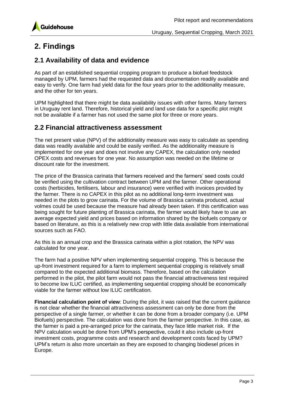

### <span id="page-4-0"></span>**2. Findings**

#### <span id="page-4-1"></span>**2.1 Availability of data and evidence**

As part of an established sequential cropping program to produce a biofuel feedstock managed by UPM, farmers had the requested data and documentation readily available and easy to verify. One farm had yield data for the four years prior to the additionality measure, and the other for ten years.

UPM highlighted that there might be data availability issues with other farms. Many farmers in Uruguay rent land. Therefore, historical yield and land use data for a specific plot might not be available if a farmer has not used the same plot for three or more years.

#### <span id="page-4-2"></span>**2.2 Financial attractiveness assessment**

The net present value (NPV) of the additionality measure was easy to calculate as spending data was readily available and could be easily verified. As the additionality measure is implemented for one year and does not involve any CAPEX, the calculation only needed OPEX costs and revenues for one year. No assumption was needed on the lifetime or discount rate for the investment.

The price of the Brassica carinata that farmers received and the farmers' seed costs could be verified using the cultivation contract between UPM and the farmer. Other operational costs (herbicides, fertilisers, labour and insurance) were verified with invoices provided by the farmer. There is no CAPEX in this pilot as no additional long-term investment was needed in the plots to grow carinata. For the volume of Brassica carinata produced, actual volmes could be used because the measure had already been taken. If this certification was being sought for future planting of Brassica carinata, the farmer would likely have to use an average expected yield and prices based on information shared by the biofuels company or based on literature, as this is a relatively new crop with little data available from international sources such as FAO.

As this is an annual crop and the Brassica carinata within a plot rotation, the NPV was calculated for one year.

The farm had a positive NPV when implementing sequential cropping. This is because the up-front investment required for a farm to implement sequential cropping is relatively small compared to the expected additional biomass. Therefore, based on the calculation performed in the pilot, the pilot farm would not pass the financial attractiveness test required to become low ILUC certified, as implementing sequential cropping should be economically viable for the farmer without low ILUC certification.

**Financial calculation point of view**: During the pilot, it was raised that the current guidance is not clear whether the financial attractiveness assessment can only be done from the perspective of a single farmer, or whether it can be done from a broader company (i.e. UPM Biofuels) perspective. The calculation was done from the farmer perspective. In this case, as the farmer is paid a pre-arranged price for the carinata, they face little market risk. If the NPV calculation would be done from UPM's perspective, could it also include up-front investment costs, programme costs and research and development costs faced by UPM? UPM's return is also more uncertain as they are exposed to changing biodiesel prices in Europe.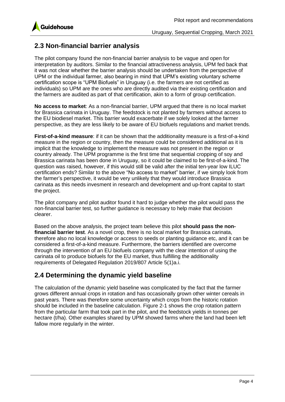

#### <span id="page-5-0"></span>**2.3 Non-financial barrier analysis**

The pilot company found the non-financial barrier analysis to be vague and open for interpretation by auditors. Similar to the financial attractiveness analysis, UPM fed back that it was not clear whether the barrier analysis should be undertaken from the perspective of UPM or the individual farmer, also bearing in mind that UPM's existing voluntary scheme certification scope is "UPM Biofuels" in Uruguay (i.e. the farmers are not certified as individuals) so UPM are the ones who are directly audited via their existing certification and the farmers are audited as part of that certification, akin to a form of group certification.

**No access to market**: As a non-financial barrier, UPM argued that there is no local market for Brassica carinata in Uruguay. The feedstock is not planted by farmers without access to the EU biodiesel market. This barrier would exacerbate if we solely looked at the farmer perspective, as they are less likely to be aware of EU biofuels regulations and market trends.

**First-of-a-kind measure**: if it can be shown that the additionality measure is a first-of-a-kind measure in the region or country, then the measure could be considered additional as it is implicit that the knowledge to implement the measure was not present in the region or country already. The UPM programme is the first time that sequential cropping of soy and Brassica carinata has been done in Uruguay, so it could be claimed to be first-of-a-kind. The question was raised, however, if this would still be valid after the initial ten-year low ILUC certification ends? Similar to the above "No access to market" barrier, if we simply look from the farmer's perspective, it would be very unlikely that they would introduce Brassica carinata as this needs invesment in research and development and up-front capital to start the project.

The pilot company and pilot auditor found it hard to judge whether the pilot would pass the non-financial barrier test, so further guidance is necessary to help make that decision clearer.

Based on the above analysis, the project team believe this pilot **should pass the nonfinancial barrier test**. As a novel crop, there is no local market for Brassica carinata, therefore also no local knowledge or access to seeds or planting guidance etc, and it can be considered a first-of-a-kind measure. Furthermore, the barriers identified are overcome through the intervention of an EU biofuels company with the clear intention of using the carinata oil to produce biofuels for the EU market, thus fulfilling the additionality requirements of Delegated Regulation 2019/807 Article 5(1)a.i.

#### <span id="page-5-1"></span>**2.4 Determining the dynamic yield baseline**

The calculation of the dynamic yield baseline was complicated by the fact that the farmer grows different annual crops in rotation and has occasionally grown other winter cereals in past years. There was therefore some uncertainty which crops from the historic rotation should be included in the baseline calculation. [Figure 2-1](#page-6-0) shows the crop rotation pattern from the particular farm that took part in the pilot, and the feedstock yields in tonnes per hectare (t/ha). Other examples shared by UPM showed farms where the land had been left fallow more regularly in the winter.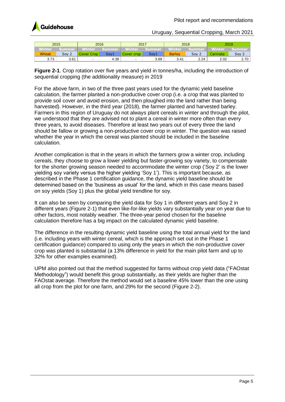

|               | 2015   | 2016                     |        | 2017       |        | 2018          |        | 2019          |        |
|---------------|--------|--------------------------|--------|------------|--------|---------------|--------|---------------|--------|
| <b>Ninter</b> | Summer | Vinter                   | Summer | Vinter     | Summer | Winter        | Summer | <b>Winter</b> | summer |
| Wheat         | Soy 2  | Cover Crop               | Sov1   | Cover crop | Soy1   | <b>Barley</b> | Sov:   | Carinata'     | Sov .  |
| 3.73          | 3.61   | $\overline{\phantom{a}}$ | 4.38   | -          | 3.69   | 3.41          | 2.24   | 2.02          | 2.70   |

<span id="page-6-0"></span>**Figure 2-1**. Crop rotation over five years and yield in tonnes/ha, including the introduction of sequential cropping (the additionality measure) in 2019

For the above farm, in two of the three past years used for the dynamic yield baseline calculation, the farmer planted a non-productive cover crop (i.e. a crop that was planted to provide soil cover and avoid erosion, and then ploughed into the land rather than being harvested). However, in the third year (2018), the farmer planted and harvested barley. Farmers in this region of Uruguay do not always plant cereals in winter and through the pilot, we understood that they are advised not to plant a cereal in winter more often than every three years, to avoid diseases. Therefore at least two years out of every three the land should be fallow or growing a non-productive cover crop in winter. The question was raised whether the year in which the cereal was planted should be included in the baseline calculation.

Another complication is that in the years in which the farmers grow a winter crop, including cereals, they choose to grow a lower yielding but faster-growing soy variety, to compensate for the shorter growing season needed to accommodate the winter crop ('Soy 2' is the lower yielding soy variety versus the higher yielding 'Soy 1'). This is important because, as described in the Phase 1 certification guidance, the dynamic yield baseline should be determined based on the 'business as usual' for the land, which in this case means based on soy yields (Soy 1) plus the global yield trendline for soy.

It can also be seen by comparing the yield data for Soy 1 in different years and Soy 2 in different years [\(Figure 2-1\)](#page-6-0) that even like-for-like yields vary substantially year on year due to other factors, most notably weather. The three-year period chosen for the baseline calculation therefore has a big impact on the calculated dynamic yield baseline.

The difference in the resulting dynamic yield baseline using the total annual yield for the land (i.e. including years with winter cereal, which is the approach set out in the Phase 1 certification guidance) compared to using only the years in which the non-productive cover crop was planted is substantial (a 13% difference in yield for the main pilot farm and up to 32% for other examples examined).

UPM also pointed out that the method suggested for farms without crop yield data ("FAOstat Methodology") would benefit this group substantially, as their yields are higher than the FAOstat average. Therefore the method would set a baseline 45% lower than the one using all crop from the plot for one farm, and 29% for the second [\(Figure 2-2\)](#page-7-0).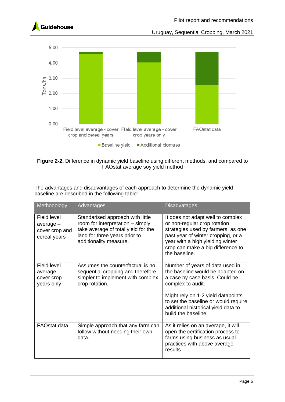



<span id="page-7-0"></span>**Figure 2-2.** Difference in dynamic yield baseline using different methods, and compared to FAOstat average soy yield method

The advantages and disadvantages of each approach to determine the dynamic yield baseline are described in the following table:

| Methodology                                                  | Advantages                                                                                                                                                             | <b>Disadvatages</b>                                                                                                                                                                                                                                                    |
|--------------------------------------------------------------|------------------------------------------------------------------------------------------------------------------------------------------------------------------------|------------------------------------------------------------------------------------------------------------------------------------------------------------------------------------------------------------------------------------------------------------------------|
| Field level<br>$average -$<br>cover crop and<br>cereal years | Standarised approach with little<br>room for interpretation - simply<br>take average of total yield for the<br>land for three years prior to<br>additionality measure. | It does not adapt well to complex<br>or non-regular crop rotation<br>strategies used by farmers, as one<br>past year of winter cropping, or a<br>year with a high yielding winter<br>crop can make a big difference to<br>the baseline.                                |
| Field level<br>average -<br>cover crop<br>years only         | Assumes the counterfactual is no<br>sequential cropping and therefore<br>simpler to implement with complex<br>crop rotation.                                           | Number of years of data used in<br>the baseline would be adapted on<br>a case by case basis. Could be<br>complex to audit.<br>Might rely on 1-2 yield datapoints<br>to set the baseline or would require<br>additional historical yield data to<br>build the baseline. |
| <b>FAOstat data</b>                                          | Simple approach that any farm can<br>follow without needing their own<br>data.                                                                                         | As it relies on an average, it will<br>open the certification process to<br>farms using business as usual<br>practices with above average<br>results.                                                                                                                  |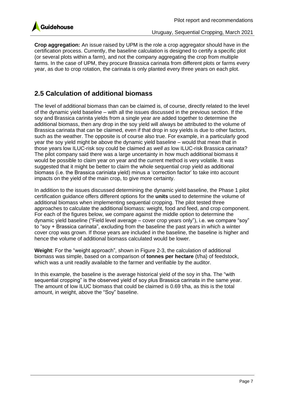

**Crop aggregation:** An issue raised by UPM is the role a crop aggregator should have in the certification process. Currently, the baseline calculation is designed to certify a specific plot (or several plots within a farm), and not the company aggregating the crop from multiple farms. In the case of UPM, they procure Brassica carinata from different plots or farms every year, as due to crop rotation, the carinata is only planted every three years on each plot.

#### <span id="page-8-0"></span>**2.5 Calculation of additional biomass**

The level of additional biomass than can be claimed is, of course, directly related to the level of the dynamic yield baseline – with all the issues discussed in the previous section. If the soy and Brassica carinita yields from a single year are added together to determine the additional biomass, then any drop in the soy yield will always be attributed to the volume of Brassica carinata that can be claimed, even if that drop in soy yields is due to other factors, such as the weather. The opposite is of course also true. For example, in a particularly good year the soy yield might be above the dynamic yield baseline – would that mean that in those years low ILUC-risk soy could be claimed *as well as* low ILUC-risk Brassica carinata? The pilot company said there was a large uncertainty in how much additional biomass it would be possible to claim year on year and the current method is very volatile. It was suggested that it might be better to claim the whole sequential crop yield as additional biomass (i.e. the Brassica cariniata yield) minus a 'correction factor' to take into account impacts on the yield of the main crop, to give more certainty.

In addition to the issues discussed determining the dynamic yield baseline, the Phase 1 pilot certification guidance offers different options for the **units** used to determine the volume of additional biomass when implementing sequential cropping. The pilot tested three approaches to calculate the additional biomass: weight, food and feed, and crop component. For each of the figures below, we compare against the middle option to determine the dynamic yield baseline ("Field level average – cover crop years only"), i.e. we compare "soy" to "soy + Brassica carinata", excluding from the baseline the past years in which a winter cover crop was grown. If those years are included in the baseline, the baseline is higher and hence the volume of additional biomass calculated would be lower.

**Weight**: For the "weight approach", shown in [Figure 2-3,](#page-9-0) the calculation of additional biomass was simple, based on a comparison of **tonnes per hectare** (t/ha) of feedstock, which was a unit readily available to the farmer and verifiable by the auditor.

In this example, the baseline is the average historical yield of the soy in t/ha. The "with sequential cropping" is the observed yield of soy plus Brassica carinata in the same year. The amount of low ILUC biomass that could be claimed is 0.69 t/ha, as this is the total amount, in weight, above the "Soy" baseline.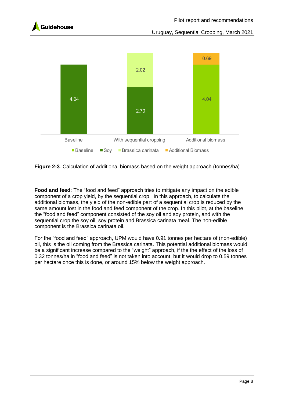



<span id="page-9-0"></span>**Figure 2-3**. Calculation of additional biomass based on the weight approach (tonnes/ha)

**Food and feed**: The "food and feed" approach tries to mitigate any impact on the edible component of a crop yield, by the sequential crop. In this approach, to calculate the additional biomass, the yield of the non-edible part of a sequential crop is reduced by the same amount lost in the food and feed component of the crop. In this pilot, at the baseline the "food and feed" component consisted of the soy oil and soy protein, and with the sequential crop the soy oil, soy protein and Brassica carinata meal. The non-edible component is the Brassica carinata oil.

For the "food and feed" approach, UPM would have 0.91 tonnes per hectare of (non-edible) oil, this is the oil coming from the Brassica carinata. This potential additional biomass would be a significant increase compared to the "weight" approach, if the the effect of the loss of 0.32 tonnes/ha in "food and feed" is not taken into account, but it would drop to 0.59 tonnes per hectare once this is done, or around 15% below the weight approach.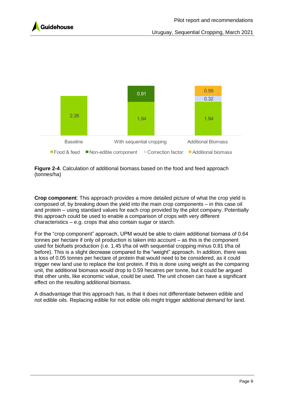



<span id="page-10-0"></span>

**Crop component**: This approach provides a more detailed picture of what the crop yield is composed of, by breaking down the yield into the main crop components – in this case oil and protein – using standard values for each crop provided by the pilot company. Potentially this approach could be used to enable a comparison of crops with very different characteristics – e.g. crops that also contain sugar or starch.

For the "crop component" approach, UPM would be able to claim additional biomass of 0.64 tonnes per hectare if only oil production is taken into account – as this is the component used for biofuels production (i.e. 1.45 t/ha oil with sequential cropping minus 0.81 t/ha oil before). This is a slight decrease compared to the "weight" approach. In addition, there was a loss of 0.05 tonnes per hectare of protein that would need to be considered, as it could trigger new land use to replace the lost protein. If this is done using weight as the comparing unit, the additional biomass would drop to 0.59 hecatres per tonne, but it could be argued that other units, like economic value, could be used. The unit chosen can have a significant effect on the resulting additional biomass.

A disadvantage that this approach has, is that it does not differentiate between edible and not edible oils. Replacing edible for not edible oils might trigger additional demand for land.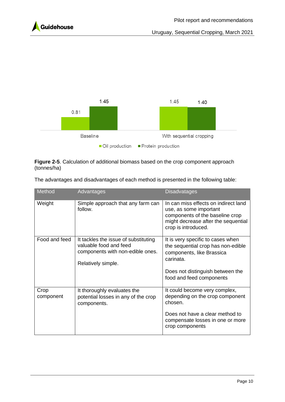



<span id="page-11-0"></span>**Figure 2-5**. Calculation of additional biomass based on the crop component approach (tonnes/ha)

| The advantages and disadvantages of each method is presented in the following table: |  |  |
|--------------------------------------------------------------------------------------|--|--|
|                                                                                      |  |  |

| <b>Method</b>     | Advantages                                                                                                               | <b>Disadvatages</b>                                                                                                                                                               |
|-------------------|--------------------------------------------------------------------------------------------------------------------------|-----------------------------------------------------------------------------------------------------------------------------------------------------------------------------------|
| Weight            | Simple approach that any farm can<br>follow.                                                                             | In can miss effects on indirect land<br>use, as some important<br>components of the baseline crop<br>might decrease after the sequential<br>crop is introduced.                   |
| Food and feed     | It tackles the issue of substituting<br>valuable food and feed<br>components with non-edible ones.<br>Relatively simple. | It is very specific to cases when<br>the sequential crop has non-edible<br>components, like Brassica<br>carinata.<br>Does not distinguish between the<br>food and feed components |
| Crop<br>component | It thoroughly evaluates the<br>potential losses in any of the crop<br>components.                                        | It could become very complex,<br>depending on the crop component<br>chosen.<br>Does not have a clear method to<br>compensate losses in one or more<br>crop components             |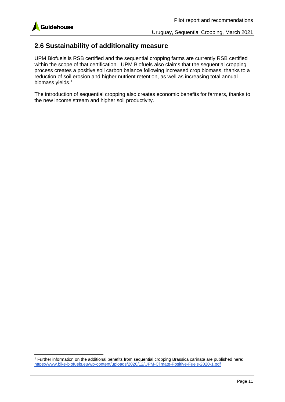

#### <span id="page-12-0"></span>**2.6 Sustainability of additionality measure**

UPM Biofuels is RSB certified and the sequential cropping farms are currently RSB certified within the scope of that certification. UPM Biofuels also claims that the sequential cropping process creates a positive soil carbon balance following increased crop biomass, thanks to a reduction of soil erosion and higher nutrient retention, as well as increasing total annual biomass yields. 1

The introduction of sequential cropping also creates economic benefits for farmers, thanks to the new income stream and higher soil productivity.

<sup>1</sup> Further information on the additional benefits from sequential cropping Brassica carinata are published here: <https://www.bike-biofuels.eu/wp-content/uploads/2020/12/UPM-Climate-Positive-Fuels-2020-1.pdf>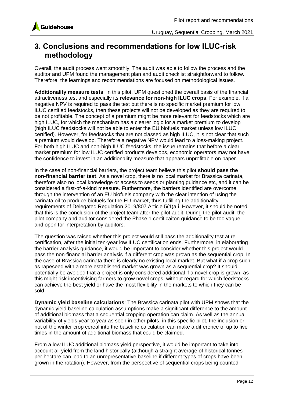

### <span id="page-13-0"></span>**3. Conclusions and recommendations for low ILUC-risk methodology**

Overall, the audit process went smoothly. The audit was able to follow the process and the auditor and UPM found the management plan and audit checklist straightforward to follow. Therefore, the learnings and recommendations are focused on methodological issues.

**Additionality measure tests**: In this pilot, UPM questioned the overall basis of the financial attractiveness test and especially its **relevance for non-high ILUC crops**. For example, if a negative NPV is required to pass the test but there is no specific market premium for low ILUC certified feedstocks, then these projects will not be developed as they are required to be not profitable. The concept of a premium might be more relevant for feedstocks which are high ILUC, for which the mechanism has a clearer logic for a market premium to develop (high ILUC feedstocks will not be able to enter the EU biofuels market unless low ILUC certified). However, for feedstocks that are not classed as high ILUC, it is not clear that such a premium would develop. Therefore a negative NPV would lead to a loss-making project. For both high ILUC and non-high ILUC feedstocks, the issue remains that before a clear market premium for low ILUC certified products develops, economic operators may not have the confidence to invest in an additionality measure that appears unprofitable on paper.

In the case of non-financial barriers, the project team believe this pilot **should pass the non-financial barrier test**. As a novel crop, there is no local market for Brassica carinata, therefore also no local knowledge or access to seeds or planting guidance etc, and it can be considered a first-of-a-kind measure. Furthermore, the barriers identified are overcome through the intervention of an EU biofuels company with the clear intention of using the carinata oil to produce biofuels for the EU market, thus fulfilling the additionality requirements of Delegated Regulation 2019/807 Article 5(1)a.i. However, it should be noted that this is the conclusion of the project team after the pilot audit. During the pilot audit, the pilot company and auditor considered the Phase 1 certificaiton guidance to be too vague and open for interpretation by auditors.

The question was raised whether this project would still pass the additionality test at recertification, after the initial ten-year low ILUC certification ends. Furthermore, in elaborating the barrier analysis guidance, it would be important to consider whether this project would pass the non-financial barrier analysis if a different crop was grown as the sequential crop. In the case of Brassica carinata there is clearly no existing local market. But what if a crop such as rapeseed with a more established market was grown as a sequential crop? It should potentially be avoided that a project is only considered additional if a novel crop is grown, as this might risk incentivising farmers to grow novel crops, without regard for which feedstocks can achieve the best yield or have the most flexibility in the markets to which they can be sold.

**Dynamic yield baseline calculations**: The Brassica carinata pilot with UPM shows that the dynamic yield baseline calculation assumptions make a significant difference to the amount of additional biomass that a sequential cropping operation can claim. As well as the annual variability of yields year to year as seen in other pilots, in this specific pilot, the inclusion or not of the winter crop cereal into the baseline calculation can make a difference of up to five times in the amount of additional biomass that could be claimed.

From a low ILUC additional biomass yield perspective, it would be important to take into account all yield from the land historically (although a straight average of historical tonnes per hectare can lead to an unrepresentative baseline if different types of crops have been grown in the rotation). However, from the perspective of sequential crops being counted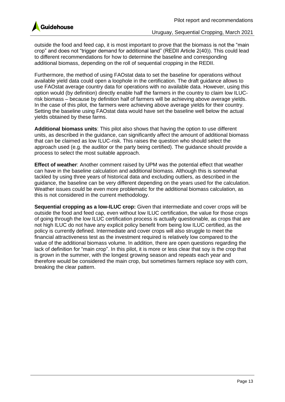outside the food and feed cap, it is most important to prove that the biomass is not the "main crop" and does not "trigger demand for additional land" (REDII Article  $2(40)$ ). This could lead to different recommendations for how to determine the baseline and corresponding additional biomass, depending on the roll of sequential cropping in the REDII.

Furthermore, the method of using FAOstat data to set the baseline for operations without available yield data could open a loophole in the certification. The draft guidance allows to use FAOstat average country data for operations with no available data. However, using this option would (by definition) directly enable half the farmers in the country to claim low ILUCrisk biomass – because by definition half of farmers will be achieving above average yields. In the case of this pilot, the farmers were achieving above average yields for their country. Setting the baseline using FAOstat data would have set the baseline well below the actual yields obtained by these farms.

**Additional biomass units**: This pilot also shows that having the option to use different units, as described in the guidance, can significantly affect the amount of additional biomass that can be claimed as low ILUC-risk. This raises the question who should select the approach used (e.g. the auditor or the party being certified). The guidance should provide a process to select the most suitable approach.

**Effect of weather**: Another comment raised by UPM was the potential effect that weather can have in the baseline calculation and additional biomass. Although this is somewhat tackled by using three years of historical data and excluding outliers, as described in the guidance, the baseline can be very different depending on the years used for the calculation. Weather issues could be even more problematic for the additional biomass calculation, as this is not considered in the current methodology.

**Sequential cropping as a low-ILUC crop:** Given that intermediate and cover crops will be outside the food and feed cap, even without low ILUC certification, the value for those crops of going through the low ILUC certification process is actually questionable, as crops that are not high ILUC do not have any explicit policy benefit from being low ILUC certified, as the policy is currently defined. Intermediate and cover crops will also struggle to meet the financial attractiveness test as the investment required is relatively low compared to the value of the additional biomass volume. In addition, there are open questions regarding the lack of definition for "main crop". In this pilot, it is more or less clear that soy is the crop that is grown in the summer, with the longest growing season and repeats each year and therefore would be considered the main crop, but sometimes farmers replace soy with corn, breaking the clear pattern.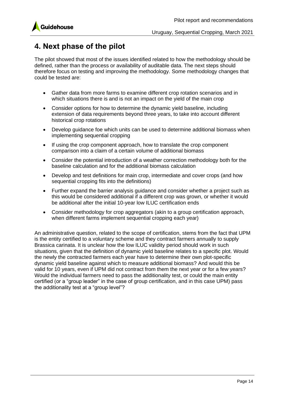

## <span id="page-15-0"></span>**4. Next phase of the pilot**

The pilot showed that most of the issues identified related to how the methodology should be defined, rather than the process or availability of auditable data. The next steps should therefore focus on testing and improving the methodology. Some methodology changes that could be tested are:

- Gather data from more farms to examine different crop rotation scenarios and in which situations there is and is not an impact on the yield of the main crop
- Consider options for how to determine the dynamic yield baseline, including extension of data requirements beyond three years, to take into account different historical crop rotations
- Develop guidance foe which units can be used to determine additional biomass when implementing sequential cropping
- If using the crop component approach, how to translate the crop component comparison into a claim of a certain volume of additional biomass
- Consider the potential introduction of a weather correction methodology both for the baseline calculation and for the additional biomass calculation
- Develop and test definitions for main crop, intermediate and cover crops (and how sequential cropping fits into the definitions)
- Further expand the barrier analysis guidance and consider whether a project such as this would be considered additional if a different crop was grown, or whether it would be additional after the initial 10-year low ILUC certification ends
- Consider methodology for crop aggregators (akin to a group certification approach, when different farms implement sequential cropping each year)

An administrative question, related to the scope of certification, stems from the fact that UPM is the entity certified to a voluntary scheme and they contract farmers annually to supply Brassica carinata. It is unclear how the low ILUC validity period should work in such situations, given that the definition of dynamic yield baseline relates to a specific plot. Would the newly the contracted farmers each year have to determine their own plot-specific dynamic yield baseline against which to measure additional biomass? And would this be valid for 10 years, even if UPM did not contract from them the next year or for a few years? Would the individual farmers need to pass the additionality test, or could the main entity certified (or a "group leader" in the case of group certification, and in this case UPM) pass the additionality test at a "group level"?